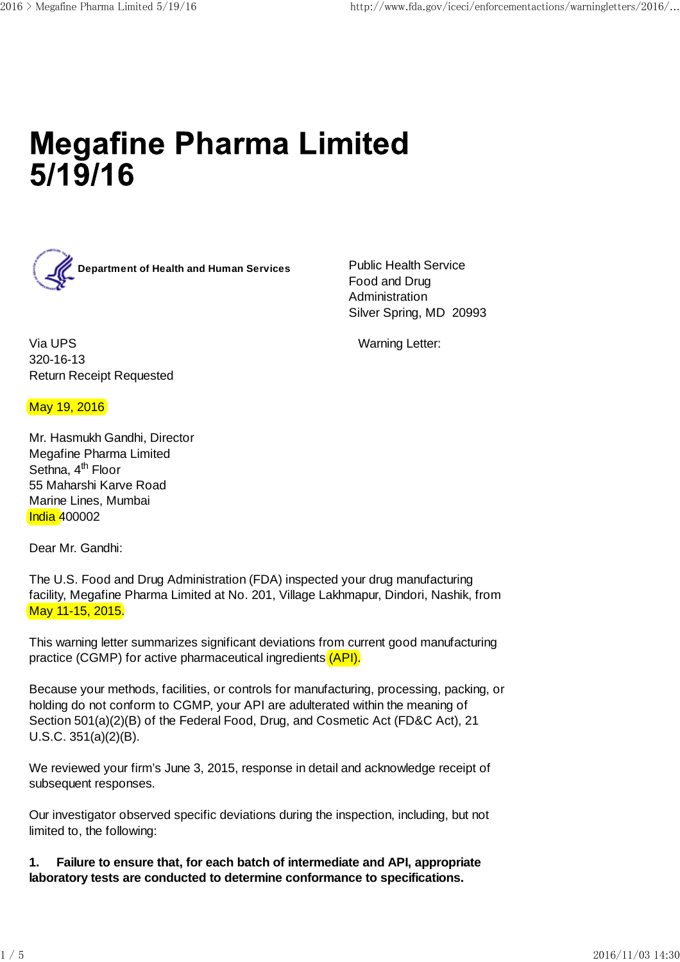# **Megafine Pharma Limited**  $5/19/16$



Food and Drug Administration Silver Spring, MD 20993

Via UPS Warning Letter: 320-16-13 Return Receipt Requested

## May 19, 2016

Mr. Hasmukh Gandhi, Director Megafine Pharma Limited Sethna, 4<sup>th</sup> Floor 55 Maharshi Karve Road Marine Lines, Mumbai India 400002

Dear Mr. Gandhi:

The U.S. Food and Drug Administration (FDA) inspected your drug manufacturing facility, Megafine Pharma Limited at No. 201, Village Lakhmapur, Dindori, Nashik, from May 11-15, 2015.

This warning letter summarizes significant deviations from current good manufacturing practice (CGMP) for active pharmaceutical ingredients (API).

Because your methods, facilities, or controls for manufacturing, processing, packing, or holding do not conform to CGMP, your API are adulterated within the meaning of Section 501(a)(2)(B) of the Federal Food, Drug, and Cosmetic Act (FD&C Act), 21 U.S.C. 351(a)(2)(B).

We reviewed your firm's June 3, 2015, response in detail and acknowledge receipt of subsequent responses.

Our investigator observed specific deviations during the inspection, including, but not limited to, the following:

**1. Failure to ensure that, for each batch of intermediate and API, appropriate laboratory tests are conducted to determine conformance to specifications.**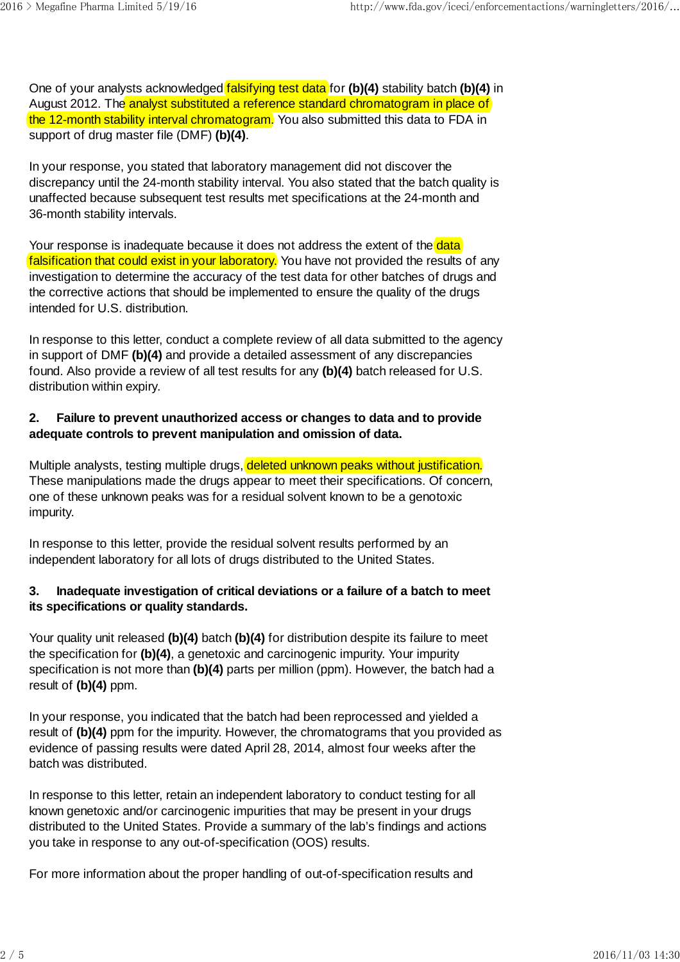One of your analysts acknowledged falsifying test data for **(b)(4)** stability batch **(b)(4)** in August 2012. The analyst substituted a reference standard chromatogram in place of the 12-month stability interval chromatogram. You also submitted this data to FDA in support of drug master file (DMF) **(b)(4)**.

In your response, you stated that laboratory management did not discover the discrepancy until the 24-month stability interval. You also stated that the batch quality is unaffected because subsequent test results met specifications at the 24-month and 36-month stability intervals.

Your response is inadequate because it does not address the extent of the data falsification that could exist in your laboratory. You have not provided the results of any investigation to determine the accuracy of the test data for other batches of drugs and the corrective actions that should be implemented to ensure the quality of the drugs intended for U.S. distribution.

In response to this letter, conduct a complete review of all data submitted to the agency in support of DMF **(b)(4)** and provide a detailed assessment of any discrepancies found. Also provide a review of all test results for any **(b)(4)** batch released for U.S. distribution within expiry.

## **2. Failure to prevent unauthorized access or changes to data and to provide adequate controls to prevent manipulation and omission of data.**

Multiple analysts, testing multiple drugs, deleted unknown peaks without justification. These manipulations made the drugs appear to meet their specifications. Of concern, one of these unknown peaks was for a residual solvent known to be a genotoxic impurity.

In response to this letter, provide the residual solvent results performed by an independent laboratory for all lots of drugs distributed to the United States.

#### **3. Inadequate investigation of critical deviations or a failure of a batch to meet its specifications or quality standards.**

Your quality unit released **(b)(4)** batch **(b)(4)** for distribution despite its failure to meet the specification for **(b)(4)**, a genetoxic and carcinogenic impurity. Your impurity specification is not more than **(b)(4)** parts per million (ppm). However, the batch had a result of **(b)(4)** ppm.

In your response, you indicated that the batch had been reprocessed and yielded a result of **(b)(4)** ppm for the impurity. However, the chromatograms that you provided as evidence of passing results were dated April 28, 2014, almost four weeks after the batch was distributed.

In response to this letter, retain an independent laboratory to conduct testing for all known genetoxic and/or carcinogenic impurities that may be present in your drugs distributed to the United States. Provide a summary of the lab's findings and actions you take in response to any out-of-specification (OOS) results.

For more information about the proper handling of out-of-specification results and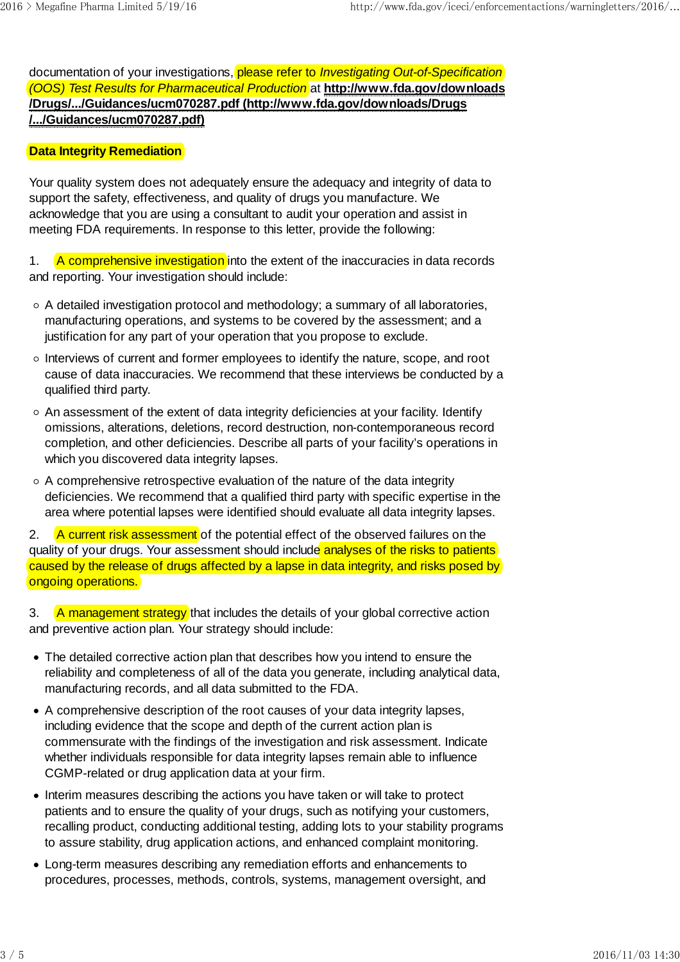documentation of your investigations, please refer to *Investigating Out-of-Specification (OOS) Test Results for Pharmaceutical Production* at **http://www.fda.gov/downloads /Drugs/.../Guidances/ucm070287.pdf (http://www.fda.gov/downloads/Drugs /.../Guidances/ucm070287.pdf)**

#### **Data Integrity Remediation**

Your quality system does not adequately ensure the adequacy and integrity of data to support the safety, effectiveness, and quality of drugs you manufacture. We acknowledge that you are using a consultant to audit your operation and assist in meeting FDA requirements. In response to this letter, provide the following:

1. A comprehensive investigation into the extent of the inaccuracies in data records and reporting. Your investigation should include:

- A detailed investigation protocol and methodology; a summary of all laboratories, manufacturing operations, and systems to be covered by the assessment; and a justification for any part of your operation that you propose to exclude.
- $\circ$  Interviews of current and former employees to identify the nature, scope, and root cause of data inaccuracies. We recommend that these interviews be conducted by a qualified third party.
- An assessment of the extent of data integrity deficiencies at your facility. Identify omissions, alterations, deletions, record destruction, non-contemporaneous record completion, and other deficiencies. Describe all parts of your facility's operations in which you discovered data integrity lapses.
- $\circ$  A comprehensive retrospective evaluation of the nature of the data integrity deficiencies. We recommend that a qualified third party with specific expertise in the area where potential lapses were identified should evaluate all data integrity lapses.

2. A current risk assessment of the potential effect of the observed failures on the quality of your drugs. Your assessment should include analyses of the risks to patients caused by the release of drugs affected by a lapse in data integrity, and risks posed by ongoing operations.

3. A management strategy that includes the details of your global corrective action and preventive action plan. Your strategy should include:

- The detailed corrective action plan that describes how you intend to ensure the reliability and completeness of all of the data you generate, including analytical data, manufacturing records, and all data submitted to the FDA.
- A comprehensive description of the root causes of your data integrity lapses, including evidence that the scope and depth of the current action plan is commensurate with the findings of the investigation and risk assessment. Indicate whether individuals responsible for data integrity lapses remain able to influence CGMP-related or drug application data at your firm.
- Interim measures describing the actions you have taken or will take to protect patients and to ensure the quality of your drugs, such as notifying your customers, recalling product, conducting additional testing, adding lots to your stability programs to assure stability, drug application actions, and enhanced complaint monitoring.
- Long-term measures describing any remediation efforts and enhancements to procedures, processes, methods, controls, systems, management oversight, and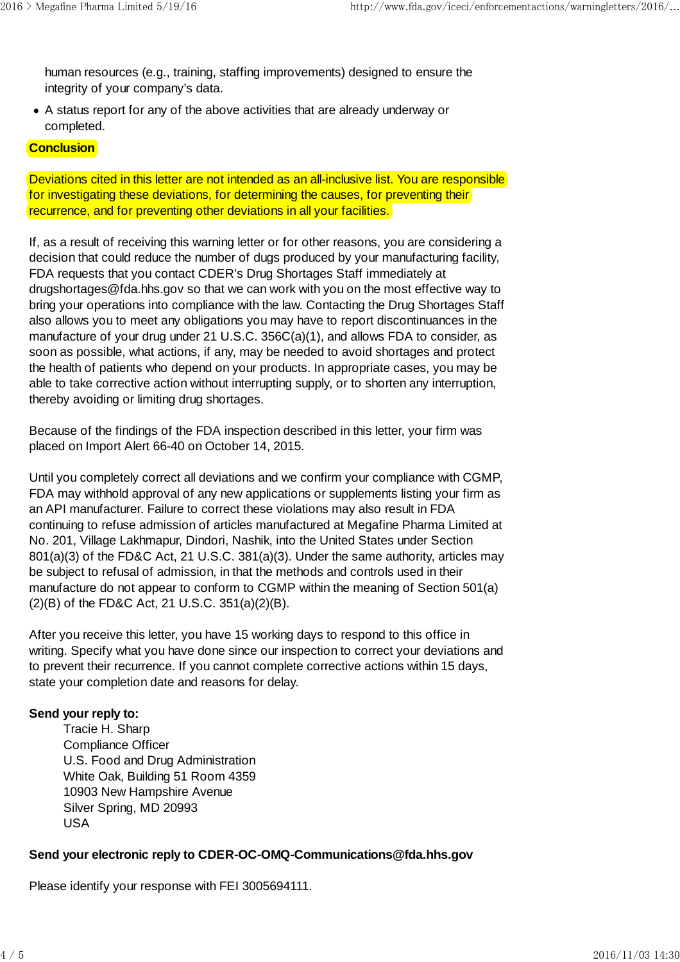human resources (e.g., training, staffing improvements) designed to ensure the integrity of your company's data.

A status report for any of the above activities that are already underway or completed.

#### **Conclusion**

Deviations cited in this letter are not intended as an all-inclusive list. You are responsible for investigating these deviations, for determining the causes, for preventing their recurrence, and for preventing other deviations in all your facilities.

If, as a result of receiving this warning letter or for other reasons, you are considering a decision that could reduce the number of dugs produced by your manufacturing facility, FDA requests that you contact CDER's Drug Shortages Staff immediately at drugshortages@fda.hhs.gov so that we can work with you on the most effective way to bring your operations into compliance with the law. Contacting the Drug Shortages Staff also allows you to meet any obligations you may have to report discontinuances in the manufacture of your drug under 21 U.S.C. 356C(a)(1), and allows FDA to consider, as soon as possible, what actions, if any, may be needed to avoid shortages and protect the health of patients who depend on your products. In appropriate cases, you may be able to take corrective action without interrupting supply, or to shorten any interruption, thereby avoiding or limiting drug shortages.

Because of the findings of the FDA inspection described in this letter, your firm was placed on Import Alert 66-40 on October 14, 2015.

Until you completely correct all deviations and we confirm your compliance with CGMP, FDA may withhold approval of any new applications or supplements listing your firm as an API manufacturer. Failure to correct these violations may also result in FDA continuing to refuse admission of articles manufactured at Megafine Pharma Limited at No. 201, Village Lakhmapur, Dindori, Nashik, into the United States under Section 801(a)(3) of the FD&C Act, 21 U.S.C. 381(a)(3). Under the same authority, articles may be subject to refusal of admission, in that the methods and controls used in their manufacture do not appear to conform to CGMP within the meaning of Section 501(a) (2)(B) of the FD&C Act, 21 U.S.C. 351(a)(2)(B).

After you receive this letter, you have 15 working days to respond to this office in writing. Specify what you have done since our inspection to correct your deviations and to prevent their recurrence. If you cannot complete corrective actions within 15 days, state your completion date and reasons for delay.

## **Send your reply to:**

Tracie H. Sharp Compliance Officer U.S. Food and Drug Administration White Oak, Building 51 Room 4359 10903 New Hampshire Avenue Silver Spring, MD 20993 USA

## **Send your electronic reply to CDER-OC-OMQ-Communications@fda.hhs.gov**

Please identify your response with FEI 3005694111.